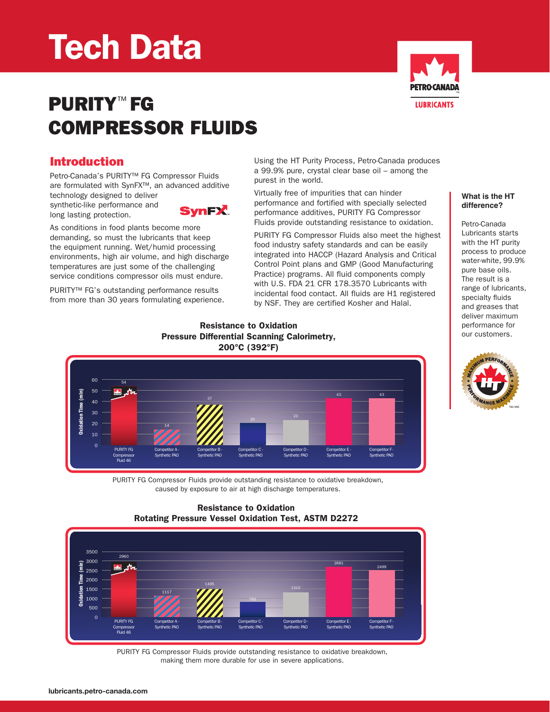# Tech Data



## PURITY<sup>™</sup> FG Compressor Fluids

## Introduction

Petro-Canada's PURITY™ FG Compressor Fluids are formulated with SynFX™, an advanced additive technology designed to deliver

synthetic-like performance and long lasting protection.

**SynFX** 

As conditions in food plants become more demanding, so must the lubricants that keep the equipment running. Wet/humid processing environments, high air volume, and high discharge temperatures are just some of the challenging service conditions compressor oils must endure.

PURITY<sup>™</sup> FG's outstanding performance results from more than 30 years formulating experience. Using the HT Purity Process, Petro-Canada produces a 99.9% pure, crystal clear base oil – among the purest in the world.

Virtually free of impurities that can hinder performance and fortified with specially selected performance additives, PURITY FG Compressor Fluids provide outstanding resistance to oxidation.

PURITY FG Compressor Fluids also meet the highest food industry safety standards and can be easily integrated into HACCP (Hazard Analysis and Critical Control Point plans and GMP (Good Manufacturing Practice) programs. All fluid components comply with U.S. FDA 21 CFR 178.3570 Lubricants with incidental food contact. All fluids are H1 registered by NSF. They are certified Kosher and Halal.

#### **What is the HT difference?**

Petro-Canada Lubricants starts with the HT purity process to produce water-white, 99.9% pure base oils. The result is a range of lubricants, specialty fluids and greases that deliver maximum performance for our customers.



#### Resistance to Oxidation Pressure Differential Scanning Calorimetry, 200°C (392°F)



PURITY FG Compressor Fluids provide outstanding resistance to oxidative breakdown, caused by exposure to air at high discharge temperatures.

#### Resistance to Oxidation Rotating Pressure Vessel Oxidation Test, ASTM D2272



PURITY FG Compressor Fluids provide outstanding resistance to oxidative breakdown, making them more durable for use in severe applications.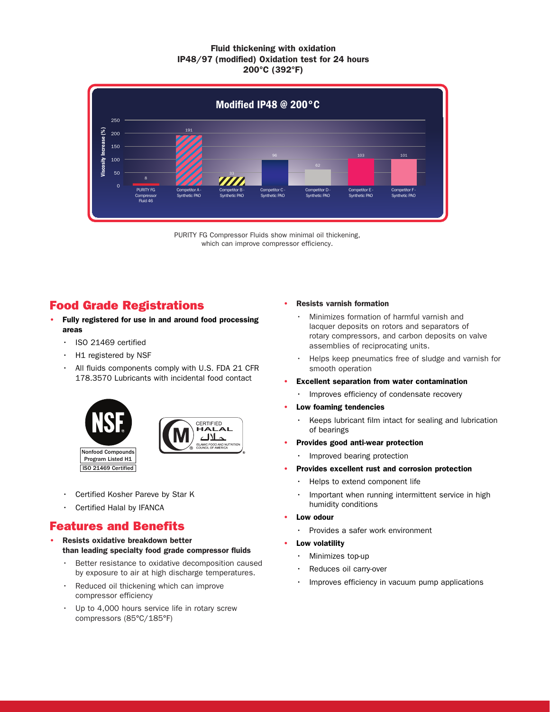#### Fluid thickening with oxidation IP48/97 (modified) Oxidation test for 24 hours 200°C (392°F)



PURITY FG Compressor Fluids show minimal oil thickening, which can improve compressor efficiency.

## Food Grade Registrations

- Fully registered for use in and around food processing areas
	- ISO 21469 certified
	- $·$  H1 registered by NSF
	- • All fluids components comply with U.S. FDA 21 CFR 178.3570 Lubricants with incidental food contact





- • Certified Kosher Pareve by Star K
- Certified Halal by IFANCA

## Features and Benefits

- Resists oxidative breakdown better than leading specialty food grade compressor fluids
	- Better resistance to oxidative decomposition caused by exposure to air at high discharge temperatures.
	- $\cdot$  Reduced oil thickening which can improve compressor efficiency
	- Up to 4,000 hours service life in rotary screw compressors (85°C/185°F)

### • Resists varnish formation

- • Minimizes formation of harmful varnish and lacquer deposits on rotors and separators of rotary compressors, and carbon deposits on valve assemblies of reciprocating units.
- Helps keep pneumatics free of sludge and varnish for smooth operation
- **Excellent separation from water contamination** 
	- Improves efficiency of condensate recovery
- Low foaming tendencies
	- • Keeps lubricant film intact for sealing and lubrication of bearings
- Provides good anti-wear protection
	- Improved bearing protection
- Provides excellent rust and corrosion protection
	- • Helps to extend component life
	- Important when running intermittent service in high humidity conditions
- Low odour
	- Provides a safer work environment
- Low volatility
	- Minimizes top-up
	- Reduces oil carry-over
	- Improves efficiency in vacuum pump applications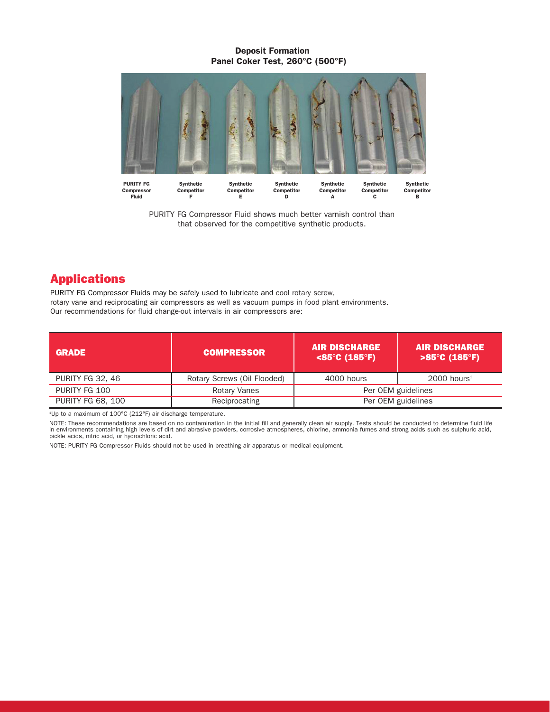#### Deposit Formation Panel Coker Test, 260°C (500°F)



PURITY FG Compressor Fluid shows much better varnish control than that observed for the competitive synthetic products.

D

 $\mathbf{B}$ 

 $\overline{c}$ 

A

E

## Applications

PURITY FG Compressor Fluids may be safely used to lubricate and cool rotary screw, rotary vane and reciprocating air compressors as well as vacuum pumps in food plant environments. Our recommendations for fluid change-out intervals in air compressors are:

F

| <b>GRADE</b>             | <b>COMPRESSOR</b>           | <b>AIR DISCHARGE</b><br>$<$ 85°C (185°F) | <b>AIR DISCHARGE</b><br>$>85^{\circ}$ C (185 $^{\circ}$ F) |  |
|--------------------------|-----------------------------|------------------------------------------|------------------------------------------------------------|--|
| PURITY FG 32, 46         | Rotary Screws (Oil Flooded) | 4000 hours                               | $2000$ hours <sup>1</sup>                                  |  |
| PURITY FG 100            | Rotary Vanes                | Per OEM guidelines                       |                                                            |  |
| <b>PURITY FG 68, 100</b> | Reciprocating               | Per OEM guidelines                       |                                                            |  |

1 Up to a maximum of 100°C (212°F) air discharge temperature.

NOTE: These recommendations are based on no contamination in the initial fill and generally clean air supply. Tests should be conducted to determine fluid life<br>in environments containing high levels of dirt and abrasive po

NOTE: PURITY FG Compressor Fluids should not be used in breathing air apparatus or medical equipment.